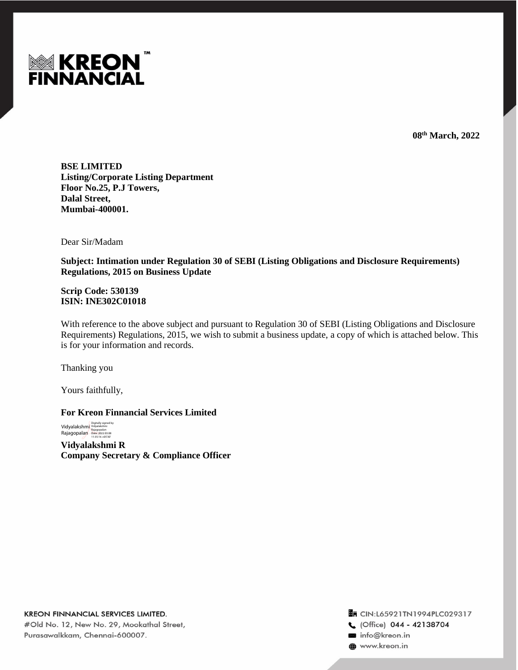

**08 th March, 2022**

**BSE LIMITED Listing/Corporate Listing Department Floor No.25, P.J Towers, Dalal Street, Mumbai-400001.**

Dear Sir/Madam

**Subject: Intimation under Regulation 30 of SEBI (Listing Obligations and Disclosure Requirements) Regulations, 2015 on Business Update**

**Scrip Code: 530139 ISIN: INE302C01018**

With reference to the above subject and pursuant to Regulation 30 of SEBI (Listing Obligations and Disclosure Requirements) Regulations, 2015, we wish to submit a business update, a copy of which is attached below. This is for your information and records.

Thanking you

Yours faithfully,

**For Kreon Finnancial Services Limited**

Vidyalakshmi<br>Rajagopalan Digitally signed by Vidyalakshmi Rajagopalan Date: 2022.03.08 11:35:16 +05'30'

**Vidyalakshmi R Company Secretary & Compliance Officer**

Tr CIN:L65921TN1994PLC029317 C (Office) 044 - 42138704 info@kreon.in to www.kreon.in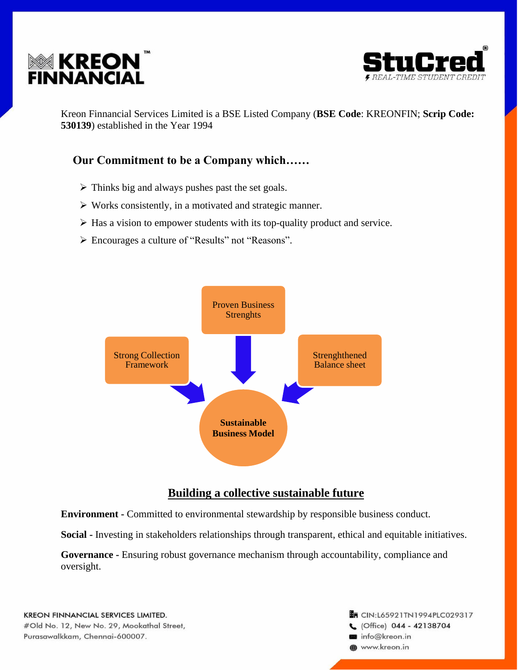



Kreon Finnancial Services Limited is a BSE Listed Company (**BSE Code**: KREONFIN; **Scrip Code: 530139**) established in the Year 1994

# **Our Commitment to be a Company which……**

- $\triangleright$  Thinks big and always pushes past the set goals.
- ➢ Works consistently, in a motivated and strategic manner.
- ➢ Has a vision to empower students with its top-quality product and service.
- ➢ Encourages a culture of "Results" not "Reasons".



# **Building a collective sustainable future**

**Environment -** Committed to environmental stewardship by responsible business conduct.

**Social -** Investing in stakeholders relationships through transparent, ethical and equitable initiatives.

**Governance -** Ensuring robust governance mechanism through accountability, compliance and oversight.

## **En CIN:L65921TN1994PLC029317** C (Office) 044 - 42138704 info@kreon.in www.kreon.in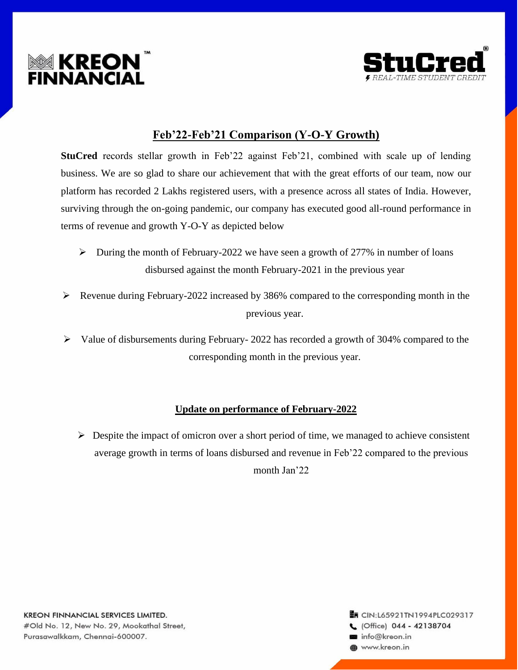



# **Feb'22-Feb'21 Comparison (Y-O-Y Growth)**

**StuCred** records stellar growth in Feb'22 against Feb'21, combined with scale up of lending business. We are so glad to share our achievement that with the great efforts of our team, now our platform has recorded 2 Lakhs registered users, with a presence across all states of India. However, surviving through the on-going pandemic, our company has executed good all-round performance in terms of revenue and growth Y-O-Y as depicted below

- $\triangleright$  During the month of February-2022 we have seen a growth of 277% in number of loans disbursed against the month February-2021 in the previous year
- ➢ Revenue during February-2022 increased by 386% compared to the corresponding month in the previous year.
- ➢ Value of disbursements during February- 2022 has recorded a growth of 304% compared to the corresponding month in the previous year.

## **Update on performance of February-2022**

 $\triangleright$  Despite the impact of omicron over a short period of time, we managed to achieve consistent average growth in terms of loans disbursed and revenue in Feb'22 compared to the previous month Jan'22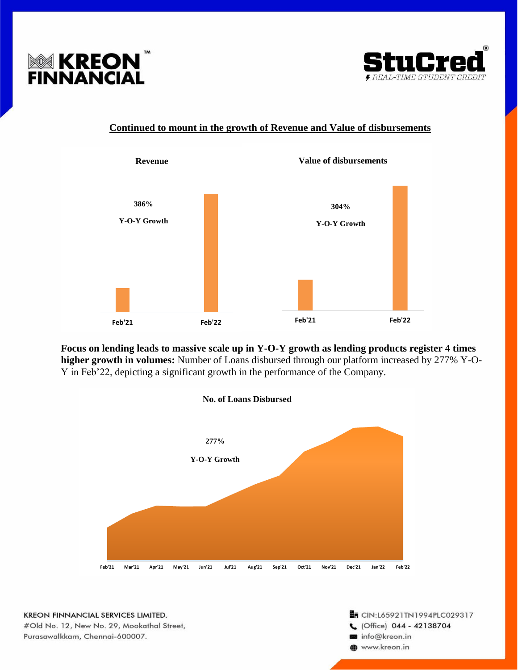



## **Continued to mount in the growth of Revenue and Value of disbursements**



**Focus on lending leads to massive scale up in Y-O-Y growth as lending products register 4 times higher growth in volumes:** Number of Loans disbursed through our platform increased by 277% Y-O-Y in Feb'22, depicting a significant growth in the performance of the Company.



KREON FINNANCIAL SERVICES LIMITED. #Old No. 12, New No. 29, Mookathal Street, Purasawalkkam, Chennai-600007.

#### **En CIN:L65921TN1994PLC029317** C (Office) 044 - 42138704 info@kreon.in www.kreon.in